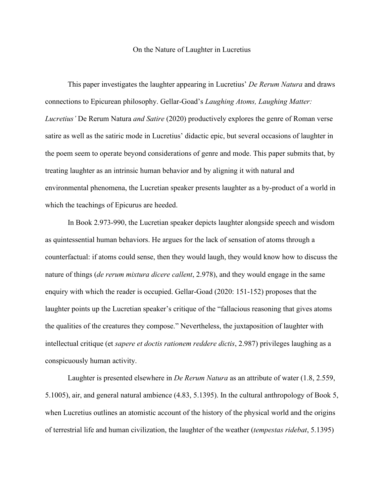## On the Nature of Laughter in Lucretius

This paper investigates the laughter appearing in Lucretius' *De Rerum Natura* and draws connections to Epicurean philosophy. Gellar-Goad's *Laughing Atoms, Laughing Matter: Lucretius'* De Rerum Natura *and Satire* (2020) productively explores the genre of Roman verse satire as well as the satiric mode in Lucretius' didactic epic, but several occasions of laughter in the poem seem to operate beyond considerations of genre and mode. This paper submits that, by treating laughter as an intrinsic human behavior and by aligning it with natural and environmental phenomena, the Lucretian speaker presents laughter as a by-product of a world in which the teachings of Epicurus are heeded.

In Book 2.973-990, the Lucretian speaker depicts laughter alongside speech and wisdom as quintessential human behaviors. He argues for the lack of sensation of atoms through a counterfactual: if atoms could sense, then they would laugh, they would know how to discuss the nature of things (*de rerum mixtura dicere callent*, 2.978), and they would engage in the same enquiry with which the reader is occupied. Gellar-Goad (2020: 151-152) proposes that the laughter points up the Lucretian speaker's critique of the "fallacious reasoning that gives atoms the qualities of the creatures they compose." Nevertheless, the juxtaposition of laughter with intellectual critique (et *sapere et doctis rationem reddere dictis*, 2.987) privileges laughing as a conspicuously human activity.

Laughter is presented elsewhere in *De Rerum Natura* as an attribute of water (1.8, 2.559, 5.1005), air, and general natural ambience (4.83, 5.1395). In the cultural anthropology of Book 5, when Lucretius outlines an atomistic account of the history of the physical world and the origins of terrestrial life and human civilization, the laughter of the weather (*tempestas ridebat*, 5.1395)